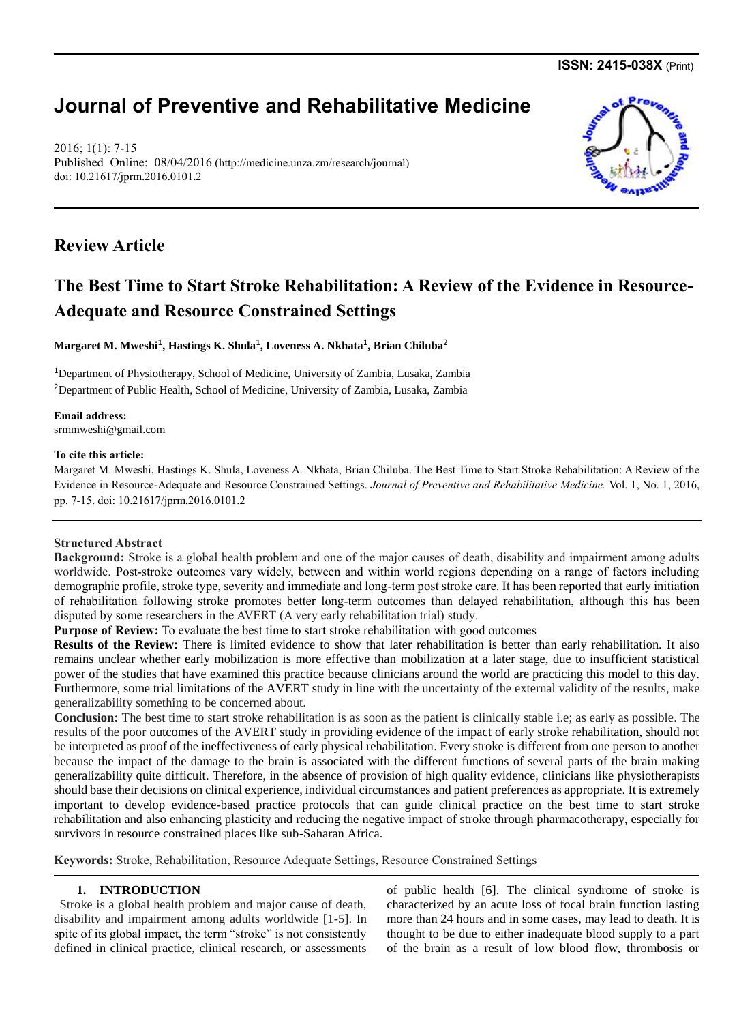**ISSN: 2415-038X** (Print)

# **Journal of Preventive and Rehabilitative Medicine**

2016; 1(1): 7-15 Published Online: 08/04/2016 [\(http://medicine.unza.zm/research/journal\)](http://medicine.unza.zm/research/journal) doi: 10.21617/jprm.2016.0101.2

# **Review Article**

# **The Best Time to Start Stroke Rehabilitation: A Review of the Evidence in Resource-Adequate and Resource Constrained Settings**

**Margaret M. Mweshi**<sup>1</sup> **, Hastings K. Shula**<sup>1</sup> **, Loveness A. Nkhata**<sup>1</sup> **, Brian Chiluba**<sup>2</sup>

<sup>1</sup>Department of Physiotherapy, School of Medicine, University of Zambia, Lusaka, Zambia <sup>2</sup>Department of Public Health, School of Medicine, University of Zambia, Lusaka, Zambia

**Email address:**  srmmweshi@gmail.com

## **To cite this article:**

Margaret M. Mweshi, Hastings K. Shula, Loveness A. Nkhata, Brian Chiluba. The Best Time to Start Stroke Rehabilitation: A Review of the Evidence in Resource-Adequate and Resource Constrained Settings. *Journal of Preventive and Rehabilitative Medicine.* Vol. 1, No. 1, 2016, pp. 7-15. doi: 10.21617/jprm.2016.0101.2

# **Structured Abstract**

**Background:** Stroke is a global health problem and one of the major causes of death, disability and impairment among adults worldwide. Post-stroke outcomes vary widely, between and within world regions depending on a range of factors including demographic profile, stroke type, severity and immediate and long-term post stroke care. It has been reported that early initiation of rehabilitation following stroke promotes better long-term outcomes than delayed rehabilitation, although this has been disputed by some researchers in the AVERT (A very early rehabilitation trial) study.

**Purpose of Review:** To evaluate the best time to start stroke rehabilitation with good outcomes

**Results of the Review:** There is limited evidence to show that later rehabilitation is better than early rehabilitation. It also remains unclear whether early mobilization is more effective than mobilization at a later stage, due to insufficient statistical power of the studies that have examined this practice because clinicians around the world are practicing this model to this day. Furthermore, some trial limitations of the AVERT study in line with the uncertainty of the external validity of the results, make generalizability something to be concerned about.

**Conclusion:** The best time to start stroke rehabilitation is as soon as the patient is clinically stable i.e; as early as possible. The results of the poor outcomes of the AVERT study in providing evidence of the impact of early stroke rehabilitation, should not be interpreted as proof of the ineffectiveness of early physical rehabilitation. Every stroke is different from one person to another because the impact of the damage to the brain is associated with the different functions of several parts of the brain making generalizability quite difficult. Therefore, in the absence of provision of high quality evidence, clinicians like physiotherapists should base their decisions on clinical experience, individual circumstances and patient preferences as appropriate. It is extremely important to develop evidence-based practice protocols that can guide clinical practice on the best time to start stroke rehabilitation and also enhancing plasticity and reducing the negative impact of stroke through pharmacotherapy, especially for survivors in resource constrained places like sub-Saharan Africa.

**Keywords:** Stroke, Rehabilitation, Resource Adequate Settings, Resource Constrained Settings

# **1. INTRODUCTION**

Stroke is a global health problem and major cause of death, disability and impairment among adults worldwide [1-5]. In spite of its global impact, the term "stroke" is not consistently defined in clinical practice, clinical research, or assessments of public health [6]. The clinical syndrome of stroke is characterized by an acute loss of focal brain function lasting more than 24 hours and in some cases, may lead to death. It is thought to be due to either inadequate blood supply to a part of the brain as a result of low blood flow, thrombosis or

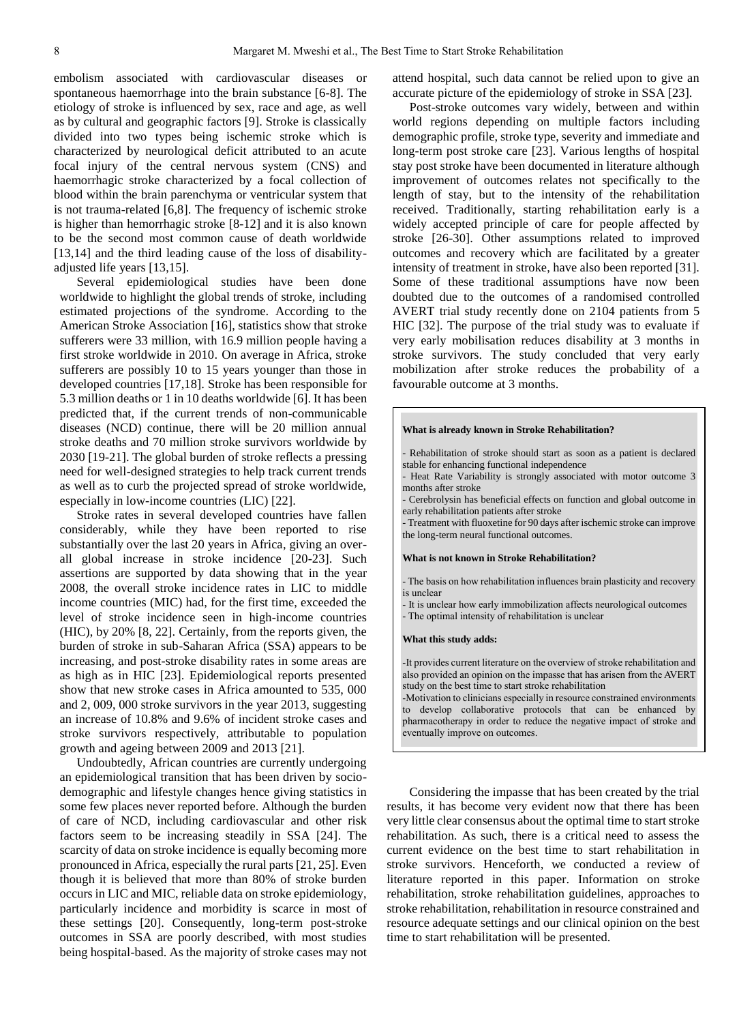embolism associated with cardiovascular diseases or spontaneous haemorrhage into the brain substance [6-8]. The etiology of stroke is influenced by sex, race and age, as well as by cultural and geographic factors [9]. Stroke is classically divided into two types being ischemic stroke which is characterized by neurological deficit attributed to an acute focal injury of the central nervous system (CNS) and haemorrhagic stroke characterized by a focal collection of blood within the brain parenchyma or ventricular system that is not trauma-related [6,8]. The frequency of ischemic stroke is higher than hemorrhagic stroke [8-12] and it is also known to be the second most common cause of death worldwide [13,14] and the third leading cause of the loss of disabilityadjusted life years [13,15].

Several epidemiological studies have been done worldwide to highlight the global trends of stroke, including estimated projections of the syndrome. According to the American Stroke Association [16], statistics show that stroke sufferers were 33 million, with 16.9 million people having a first stroke worldwide in 2010. On average in Africa, stroke sufferers are possibly 10 to 15 years younger than those in developed countries [17,18]. Stroke has been responsible for 5.3 million deaths or 1 in 10 deaths worldwide [6]. It has been predicted that, if the current trends of non-communicable diseases (NCD) continue, there will be 20 million annual stroke deaths and 70 million stroke survivors worldwide by 2030 [19-21]. The global burden of stroke reflects a pressing need for well-designed strategies to help track current trends as well as to curb the projected spread of stroke worldwide, especially in low-income countries (LIC) [22].

Stroke rates in several developed countries have fallen considerably, while they have been reported to rise substantially over the last 20 years in Africa, giving an overall global increase in stroke incidence [20-23]. Such assertions are supported by data showing that in the year 2008, the overall stroke incidence rates in LIC to middle income countries (MIC) had, for the first time, exceeded the level of stroke incidence seen in high-income countries (HIC), by 20% [8, 22]. Certainly, from the reports given, the burden of stroke in sub-Saharan Africa (SSA) appears to be increasing, and post-stroke disability rates in some areas are as high as in HIC [23]. Epidemiological reports presented show that new stroke cases in Africa amounted to 535, 000 and 2, 009, 000 stroke survivors in the year 2013, suggesting an increase of 10.8% and 9.6% of incident stroke cases and stroke survivors respectively, attributable to population growth and ageing between 2009 and 2013 [21].

Undoubtedly, African countries are currently undergoing an epidemiological transition that has been driven by sociodemographic and lifestyle changes hence giving statistics in some few places never reported before. Although the burden of care of NCD, including cardiovascular and other risk factors seem to be increasing steadily in SSA [24]. The scarcity of data on stroke incidence is equally becoming more pronounced in Africa, especially the rural parts [21, 25]. Even though it is believed that more than 80% of stroke burden occurs in LIC and MIC, reliable data on stroke epidemiology, particularly incidence and morbidity is scarce in most of these settings [20]. Consequently, long-term post-stroke outcomes in SSA are poorly described, with most studies being hospital-based. As the majority of stroke cases may not attend hospital, such data cannot be relied upon to give an accurate picture of the epidemiology of stroke in SSA [23].

Post-stroke outcomes vary widely, between and within world regions depending on multiple factors including demographic profile, stroke type, severity and immediate and long-term post stroke care [23]. Various lengths of hospital stay post stroke have been documented in literature although improvement of outcomes relates not specifically to the length of stay, but to the intensity of the rehabilitation received. Traditionally, starting rehabilitation early is a widely accepted principle of care for people affected by stroke [26-30]. Other assumptions related to improved outcomes and recovery which are facilitated by a greater intensity of treatment in stroke, have also been reported [31]. Some of these traditional assumptions have now been doubted due to the outcomes of a randomised controlled AVERT trial study recently done on 2104 patients from 5 HIC [32]. The purpose of the trial study was to evaluate if very early mobilisation reduces disability at 3 months in stroke survivors. The study concluded that very early mobilization after stroke reduces the probability of a favourable outcome at 3 months.

#### **What is already known in Stroke Rehabilitation?**

- Rehabilitation of stroke should start as soon as a patient is declared stable for enhancing functional independence
- Heat Rate Variability is strongly associated with motor outcome 3 months after stroke
- Cerebrolysin has beneficial effects on function and global outcome in early rehabilitation patients after stroke

- Treatment with fluoxetine for 90 days after ischemic stroke can improve the long-term neural functional outcomes.

#### **What is not known in Stroke Rehabilitation?**

- The basis on how rehabilitation influences brain plasticity and recovery is unclear

- It is unclear how early immobilization affects neurological outcomes - The optimal intensity of rehabilitation is unclear

#### **What this study adds:**

-It provides current literature on the overview of stroke rehabilitation and also provided an opinion on the impasse that has arisen from the AVERT study on the best time to start stroke rehabilitation

-Motivation to clinicians especially in resource constrained environments to develop collaborative protocols that can be enhanced by pharmacotherapy in order to reduce the negative impact of stroke and eventually improve on outcomes.

Considering the impasse that has been created by the trial results, it has become very evident now that there has been very little clear consensus about the optimal time to start stroke rehabilitation. As such, there is a critical need to assess the current evidence on the best time to start rehabilitation in stroke survivors. Henceforth, we conducted a review of literature reported in this paper. Information on stroke rehabilitation, stroke rehabilitation guidelines, approaches to stroke rehabilitation, rehabilitation in resource constrained and resource adequate settings and our clinical opinion on the best time to start rehabilitation will be presented.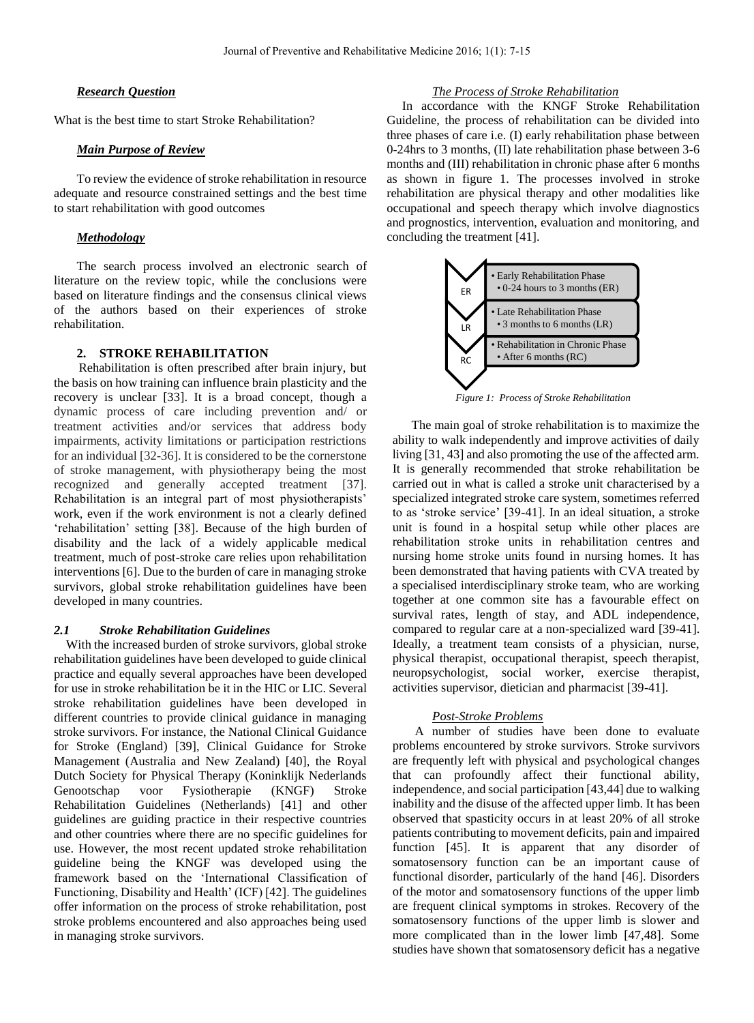#### *Research Question*

What is the best time to start Stroke Rehabilitation?

## *Main Purpose of Review*

To review the evidence of stroke rehabilitation in resource adequate and resource constrained settings and the best time to start rehabilitation with good outcomes

#### *Methodology*

The search process involved an electronic search of literature on the review topic, while the conclusions were based on literature findings and the consensus clinical views of the authors based on their experiences of stroke rehabilitation.

### **2. STROKE REHABILITATION**

Rehabilitation is often prescribed after brain injury, but the basis on how training can influence brain plasticity and the recovery is unclear [33]. It is a broad concept, though a dynamic process of care including prevention and/ or treatment activities and/or services that address body impairments, activity limitations or participation restrictions for an individual [32-36]. It is considered to be the cornerstone of stroke management, with physiotherapy being the most recognized and generally accepted treatment [37]. Rehabilitation is an integral part of most physiotherapists' work, even if the work environment is not a clearly defined 'rehabilitation' setting [38]. Because of the high burden of disability and the lack of a widely applicable medical treatment, much of post-stroke care relies upon rehabilitation interventions [6]. Due to the burden of care in managing stroke survivors, global stroke rehabilitation guidelines have been developed in many countries.

#### *2.1 Stroke Rehabilitation Guidelines*

With the increased burden of stroke survivors, global stroke rehabilitation guidelines have been developed to guide clinical practice and equally several approaches have been developed for use in stroke rehabilitation be it in the HIC or LIC. Several stroke rehabilitation guidelines have been developed in different countries to provide clinical guidance in managing stroke survivors. For instance, the National Clinical Guidance for Stroke (England) [39], Clinical Guidance for Stroke Management (Australia and New Zealand) [40], the Royal Dutch Society for Physical Therapy (Koninklijk Nederlands Genootschap voor Fysiotherapie (KNGF) Stroke Rehabilitation Guidelines (Netherlands) [41] and other guidelines are guiding practice in their respective countries and other countries where there are no specific guidelines for use. However, the most recent updated stroke rehabilitation guideline being the KNGF was developed using the framework based on the 'International Classification of Functioning, Disability and Health' (ICF) [42]. The guidelines offer information on the process of stroke rehabilitation, post stroke problems encountered and also approaches being used in managing stroke survivors.

#### *The Process of Stroke Rehabilitation*

 In accordance with the KNGF Stroke Rehabilitation Guideline, the process of rehabilitation can be divided into three phases of care i.e. (I) early rehabilitation phase between 0-24hrs to 3 months, (II) late rehabilitation phase between 3-6 months and (III) rehabilitation in chronic phase after 6 months as shown in figure 1. The processes involved in stroke rehabilitation are physical therapy and other modalities like occupational and speech therapy which involve diagnostics and prognostics, intervention, evaluation and monitoring, and concluding the treatment [41].



*Figure 1: Process of Stroke Rehabilitation*

 The main goal of stroke rehabilitation is to maximize the ability to walk independently and improve activities of daily living [31, 43] and also promoting the use of the affected arm. It is generally recommended that stroke rehabilitation be carried out in what is called a stroke unit characterised by a specialized integrated stroke care system, sometimes referred to as 'stroke service' [39-41]. In an ideal situation, a stroke unit is found in a hospital setup while other places are rehabilitation stroke units in rehabilitation centres and nursing home stroke units found in nursing homes. It has been demonstrated that having patients with CVA treated by a specialised interdisciplinary stroke team, who are working together at one common site has a favourable effect on survival rates, length of stay, and ADL independence, compared to regular care at a non-specialized ward [39-41]. Ideally, a treatment team consists of a physician, nurse, physical therapist, occupational therapist, speech therapist, neuropsychologist, social worker, exercise therapist, activities supervisor, dietician and pharmacist [39-41].

#### *Post-Stroke Problems*

 A number of studies have been done to evaluate problems encountered by stroke survivors. Stroke survivors are frequently left with physical and psychological changes that can profoundly affect their functional ability, independence, and social participation [43,44] due to walking inability and the disuse of the affected upper limb. It has been observed that spasticity occurs in at least 20% of all stroke patients contributing to movement deficits, pain and impaired function [45]. It is apparent that any disorder of somatosensory function can be an important cause of functional disorder, particularly of the hand [46]. Disorders of the motor and somatosensory functions of the upper limb are frequent clinical symptoms in strokes. Recovery of the somatosensory functions of the upper limb is slower and more complicated than in the lower limb [47,48]. Some studies have shown that somatosensory deficit has a negative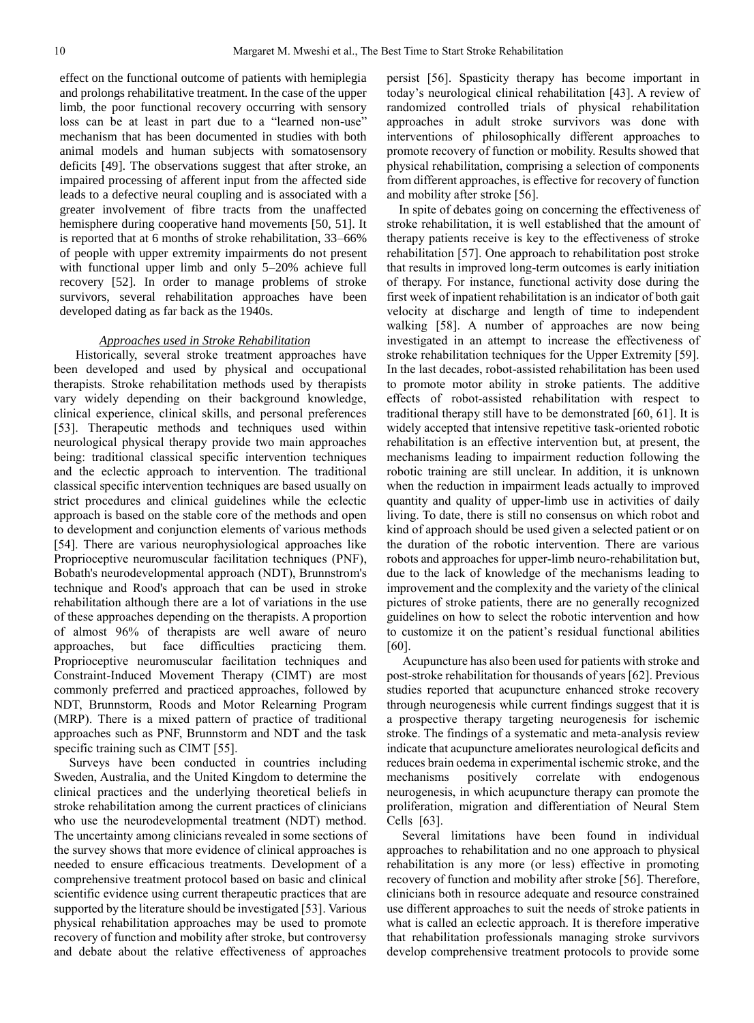effect on the functional outcome of patients with hemiplegia and prolongs rehabilitative treatment. In the case of the upper limb, the poor functional recovery occurring with sensory loss can be at least in part due to a "learned non-use" mechanism that has been documented in studies with both animal models and human subjects with somatosensory deficits [49]. The observations suggest that after stroke, an impaired processing of afferent input from the affected side leads to a defective neural coupling and is associated with a greater involvement of fibre tracts from the unaffected hemisphere during cooperative hand movements [50, 51]. It is reported that at 6 months of stroke rehabilitation, 33–66% of people with upper extremity impairments do not present with functional upper limb and only 5–20% achieve full recovery [52]. In order to manage problems of stroke survivors, several rehabilitation approaches have been developed dating as far back as the 1940s.

#### *Approaches used in Stroke Rehabilitation*

 Historically, several stroke treatment approaches have been developed and used by physical and occupational therapists. Stroke rehabilitation methods used by therapists vary widely depending on their background knowledge, clinical experience, clinical skills, and personal preferences [53]. Therapeutic methods and techniques used within neurological physical therapy provide two main approaches being: traditional classical specific intervention techniques and the eclectic approach to intervention. The traditional classical specific intervention techniques are based usually on strict procedures and clinical guidelines while the eclectic approach is based on the stable core of the methods and open to development and conjunction elements of various methods [54]. There are various neurophysiological approaches like Proprioceptive neuromuscular facilitation techniques (PNF), Bobath's neurodevelopmental approach (NDT), Brunnstrom's technique and Rood's approach that can be used in stroke rehabilitation although there are a lot of variations in the use of these approaches depending on the therapists. A proportion of almost 96% of therapists are well aware of neuro approaches, but face difficulties practicing them. Proprioceptive neuromuscular facilitation techniques and Constraint-Induced Movement Therapy (CIMT) are most commonly preferred and practiced approaches, followed by NDT, Brunnstorm, Roods and Motor Relearning Program (MRP). There is a mixed pattern of practice of traditional approaches such as PNF, Brunnstorm and NDT and the task specific training such as CIMT [55].

 Surveys have been conducted in countries including Sweden, Australia, and the United Kingdom to determine the clinical practices and the underlying theoretical beliefs in stroke rehabilitation among the current practices of clinicians who use the neurodevelopmental treatment (NDT) method. The uncertainty among clinicians revealed in some sections of the survey shows that more evidence of clinical approaches is needed to ensure efficacious treatments. Development of a comprehensive treatment protocol based on basic and clinical scientific evidence using current therapeutic practices that are supported by the literature should be investigated [53]. Various physical rehabilitation approaches may be used to promote recovery of function and mobility after stroke, but controversy and debate about the relative effectiveness of approaches persist [56]. Spasticity therapy has become important in today's neurological clinical rehabilitation [43]. A review of randomized controlled trials of physical rehabilitation approaches in adult stroke survivors was done with interventions of philosophically different approaches to promote recovery of function or mobility. Results showed that physical rehabilitation, comprising a selection of components from different approaches, is effective for recovery of function and mobility after stroke [56].

 In spite of debates going on concerning the effectiveness of stroke rehabilitation, it is well established that the amount of therapy patients receive is key to the effectiveness of stroke rehabilitation [57]. One approach to rehabilitation post stroke that results in improved long-term outcomes is early initiation of therapy. For instance, functional activity dose during the first week of inpatient rehabilitation is an indicator of both gait velocity at discharge and length of time to independent walking [58]. A number of approaches are now being investigated in an attempt to increase the effectiveness of stroke rehabilitation techniques for the Upper Extremity [59]. In the last decades, robot-assisted rehabilitation has been used to promote motor ability in stroke patients. The additive effects of robot-assisted rehabilitation with respect to traditional therapy still have to be demonstrated [60, 61]. It is widely accepted that intensive repetitive task-oriented robotic rehabilitation is an effective intervention but, at present, the mechanisms leading to impairment reduction following the robotic training are still unclear. In addition, it is unknown when the reduction in impairment leads actually to improved quantity and quality of upper-limb use in activities of daily living. To date, there is still no consensus on which robot and kind of approach should be used given a selected patient or on the duration of the robotic intervention. There are various robots and approaches for upper-limb neuro-rehabilitation but, due to the lack of knowledge of the mechanisms leading to improvement and the complexity and the variety of the clinical pictures of stroke patients, there are no generally recognized guidelines on how to select the robotic intervention and how to customize it on the patient's residual functional abilities [60].

 Acupuncture has also been used for patients with stroke and post-stroke rehabilitation for thousands of years [62]. Previous studies reported that acupuncture enhanced stroke recovery through neurogenesis while current findings suggest that it is a prospective therapy targeting neurogenesis for ischemic stroke. The findings of a systematic and meta-analysis review indicate that acupuncture ameliorates neurological deficits and reduces brain oedema in experimental ischemic stroke, and the mechanisms positively correlate with endogenous neurogenesis, in which acupuncture therapy can promote the proliferation, migration and differentiation of Neural Stem Cells [63].

 Several limitations have been found in individual approaches to rehabilitation and no one approach to physical rehabilitation is any more (or less) effective in promoting recovery of function and mobility after stroke [56]. Therefore, clinicians both in resource adequate and resource constrained use different approaches to suit the needs of stroke patients in what is called an eclectic approach. It is therefore imperative that rehabilitation professionals managing stroke survivors develop comprehensive treatment protocols to provide some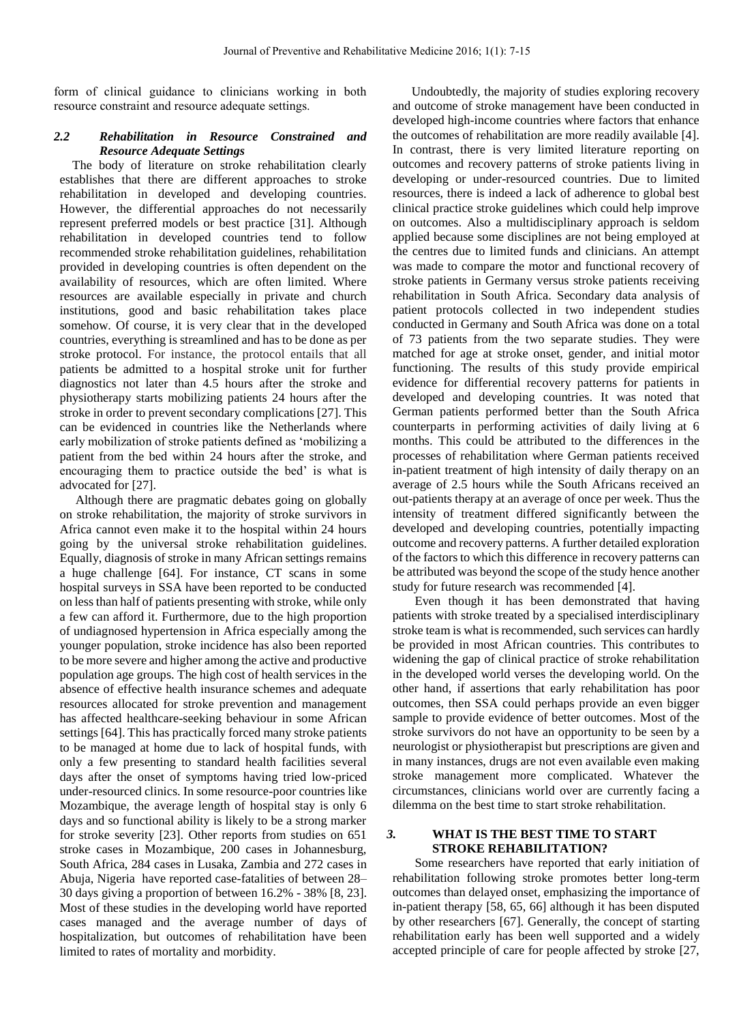form of clinical guidance to clinicians working in both resource constraint and resource adequate settings.

## *2.2 Rehabilitation in Resource Constrained and Resource Adequate Settings*

 The body of literature on stroke rehabilitation clearly establishes that there are different approaches to stroke rehabilitation in developed and developing countries. However, the differential approaches do not necessarily represent preferred models or best practice [31]. Although rehabilitation in developed countries tend to follow recommended stroke rehabilitation guidelines, rehabilitation provided in developing countries is often dependent on the availability of resources, which are often limited. Where resources are available especially in private and church institutions, good and basic rehabilitation takes place somehow. Of course, it is very clear that in the developed countries, everything is streamlined and has to be done as per stroke protocol. For instance, the protocol entails that all patients be admitted to a hospital stroke unit for further diagnostics not later than 4.5 hours after the stroke and physiotherapy starts mobilizing patients 24 hours after the stroke in order to prevent secondary complications [27]. This can be evidenced in countries like the Netherlands where early mobilization of stroke patients defined as 'mobilizing a patient from the bed within 24 hours after the stroke, and encouraging them to practice outside the bed' is what is advocated for [27].

 Although there are pragmatic debates going on globally on stroke rehabilitation, the majority of stroke survivors in Africa cannot even make it to the hospital within 24 hours going by the universal stroke rehabilitation guidelines. Equally, diagnosis of stroke in many African settings remains a huge challenge [64]. For instance, CT scans in some hospital surveys in SSA have been reported to be conducted on less than half of patients presenting with stroke, while only a few can afford it. Furthermore, due to the high proportion of undiagnosed hypertension in Africa especially among the younger population, stroke incidence has also been reported to be more severe and higher among the active and productive population age groups. The high cost of health services in the absence of effective health insurance schemes and adequate resources allocated for stroke prevention and management has affected healthcare-seeking behaviour in some African settings [64]. This has practically forced many stroke patients to be managed at home due to lack of hospital funds, with only a few presenting to standard health facilities several days after the onset of symptoms having tried low-priced under-resourced clinics. In some resource-poor countries like Mozambique, the average length of hospital stay is only 6 days and so functional ability is likely to be a strong marker for stroke severity [23]. Other reports from studies on 651 stroke cases in Mozambique, 200 cases in Johannesburg, South Africa, 284 cases in Lusaka, Zambia and 272 cases in Abuja, Nigeria have reported case-fatalities of between 28– 30 days giving a proportion of between 16.2% - 38% [8, 23]. Most of these studies in the developing world have reported cases managed and the average number of days of hospitalization, but outcomes of rehabilitation have been limited to rates of mortality and morbidity.

 Undoubtedly, the majority of studies exploring recovery and outcome of stroke management have been conducted in developed high-income countries where factors that enhance the outcomes of rehabilitation are more readily available [4]. In contrast, there is very limited literature reporting on outcomes and recovery patterns of stroke patients living in developing or under-resourced countries. Due to limited resources, there is indeed a lack of adherence to global best clinical practice stroke guidelines which could help improve on outcomes. Also a multidisciplinary approach is seldom applied because some disciplines are not being employed at the centres due to limited funds and clinicians. An attempt was made to compare the motor and functional recovery of stroke patients in Germany versus stroke patients receiving rehabilitation in South Africa. Secondary data analysis of patient protocols collected in two independent studies conducted in Germany and South Africa was done on a total of 73 patients from the two separate studies. They were matched for age at stroke onset, gender, and initial motor functioning. The results of this study provide empirical evidence for differential recovery patterns for patients in developed and developing countries. It was noted that German patients performed better than the South Africa counterparts in performing activities of daily living at 6 months. This could be attributed to the differences in the processes of rehabilitation where German patients received in-patient treatment of high intensity of daily therapy on an average of 2.5 hours while the South Africans received an out-patients therapy at an average of once per week. Thus the intensity of treatment differed significantly between the developed and developing countries, potentially impacting outcome and recovery patterns. A further detailed exploration of the factors to which this difference in recovery patterns can be attributed was beyond the scope of the study hence another study for future research was recommended [4].

 Even though it has been demonstrated that having patients with stroke treated by a specialised interdisciplinary stroke team is what is recommended, such services can hardly be provided in most African countries. This contributes to widening the gap of clinical practice of stroke rehabilitation in the developed world verses the developing world. On the other hand, if assertions that early rehabilitation has poor outcomes, then SSA could perhaps provide an even bigger sample to provide evidence of better outcomes. Most of the stroke survivors do not have an opportunity to be seen by a neurologist or physiotherapist but prescriptions are given and in many instances, drugs are not even available even making stroke management more complicated. Whatever the circumstances, clinicians world over are currently facing a dilemma on the best time to start stroke rehabilitation.

#### *3.* **WHAT IS THE BEST TIME TO START STROKE REHABILITATION?**

 Some researchers have reported that early initiation of rehabilitation following stroke promotes better long-term outcomes than delayed onset, emphasizing the importance of in-patient therapy [58, 65, 66] although it has been disputed by other researchers [67]. Generally, the concept of starting rehabilitation early has been well supported and a widely accepted principle of care for people affected by stroke [27,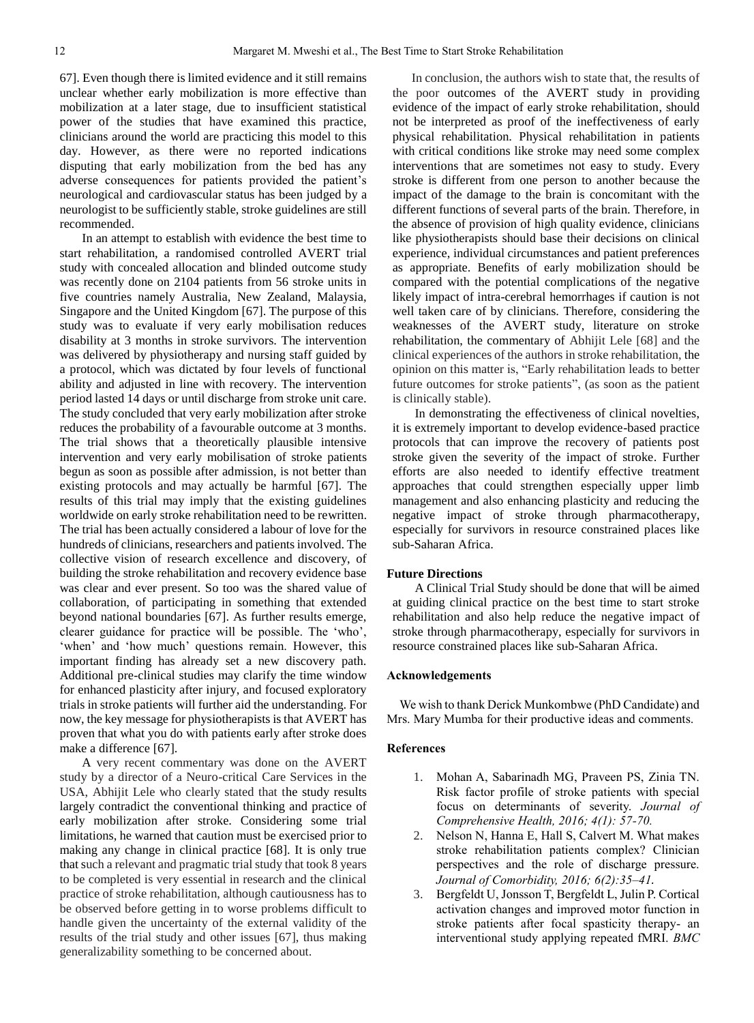67]. Even though there is limited evidence and it still remains unclear whether early mobilization is more effective than mobilization at a later stage, due to insufficient statistical power of the studies that have examined this practice, clinicians around the world are practicing this model to this day. However, as there were no reported indications disputing that early mobilization from the bed has any adverse consequences for patients provided the patient's neurological and cardiovascular status has been judged by a neurologist to be sufficiently stable, stroke guidelines are still recommended.

 In an attempt to establish with evidence the best time to start rehabilitation, a randomised controlled AVERT trial study with concealed allocation and blinded outcome study was recently done on 2104 patients from 56 stroke units in five countries namely Australia, New Zealand, Malaysia, Singapore and the United Kingdom [67]. The purpose of this study was to evaluate if very early mobilisation reduces disability at 3 months in stroke survivors. The intervention was delivered by physiotherapy and nursing staff guided by a protocol, which was dictated by four levels of functional ability and adjusted in line with recovery. The intervention period lasted 14 days or until discharge from stroke unit care. The study concluded that very early mobilization after stroke reduces the probability of a favourable outcome at 3 months. The trial shows that a theoretically plausible intensive intervention and very early mobilisation of stroke patients begun as soon as possible after admission, is not better than existing protocols and may actually be harmful [67]. The results of this trial may imply that the existing guidelines worldwide on early stroke rehabilitation need to be rewritten. The trial has been actually considered a labour of love for the hundreds of clinicians, researchers and patients involved. The collective vision of research excellence and discovery, of building the stroke rehabilitation and recovery evidence base was clear and ever present. So too was the shared value of collaboration, of participating in something that extended beyond national boundaries [67]. As further results emerge, clearer guidance for practice will be possible. The 'who', 'when' and 'how much' questions remain. However, this important finding has already set a new discovery path. Additional pre-clinical studies may clarify the time window for enhanced plasticity after injury, and focused exploratory trials in stroke patients will further aid the understanding. For now, the key message for physiotherapists is that AVERT has proven that what you do with patients early after stroke does make a difference [67].

 A very recent commentary was done on the AVERT study by a director of a Neuro-critical Care Services in the USA, Abhijit Lele who clearly stated that the study results largely contradict the conventional thinking and practice of early mobilization after stroke. Considering some trial limitations, he warned that caution must be exercised prior to making any change in clinical practice [68]. It is only true that such a relevant and pragmatic trial study that took 8 years to be completed is very essential in research and the clinical practice of stroke rehabilitation, although cautiousness has to be observed before getting in to worse problems difficult to handle given the uncertainty of the external validity of the results of the trial study and other issues [67], thus making generalizability something to be concerned about.

 In conclusion, the authors wish to state that, the results of the poor outcomes of the AVERT study in providing evidence of the impact of early stroke rehabilitation, should not be interpreted as proof of the ineffectiveness of early physical rehabilitation. Physical rehabilitation in patients with critical conditions like stroke may need some complex interventions that are sometimes not easy to study. Every stroke is different from one person to another because the impact of the damage to the brain is concomitant with the different functions of several parts of the brain. Therefore, in the absence of provision of high quality evidence, clinicians like physiotherapists should base their decisions on clinical experience, individual circumstances and patient preferences as appropriate. Benefits of early mobilization should be compared with the potential complications of the negative likely impact of intra-cerebral hemorrhages if caution is not well taken care of by clinicians. Therefore, considering the weaknesses of the AVERT study, literature on stroke rehabilitation, the commentary of Abhijit Lele [68] and the clinical experiences of the authors in stroke rehabilitation, the opinion on this matter is, "Early rehabilitation leads to better future outcomes for stroke patients", (as soon as the patient is clinically stable).

 In demonstrating the effectiveness of clinical novelties, it is extremely important to develop evidence-based practice protocols that can improve the recovery of patients post stroke given the severity of the impact of stroke. Further efforts are also needed to identify effective treatment approaches that could strengthen especially upper limb management and also enhancing plasticity and reducing the negative impact of stroke through pharmacotherapy, especially for survivors in resource constrained places like sub-Saharan Africa.

#### **Future Directions**

 A Clinical Trial Study should be done that will be aimed at guiding clinical practice on the best time to start stroke rehabilitation and also help reduce the negative impact of stroke through pharmacotherapy, especially for survivors in resource constrained places like sub-Saharan Africa.

#### **Acknowledgements**

 We wish to thank Derick Munkombwe (PhD Candidate) and Mrs. Mary Mumba for their productive ideas and comments.

#### **References**

- 1. Mohan A, Sabarinadh MG, Praveen PS, Zinia TN. Risk factor profile of stroke patients with special focus on determinants of severity. *Journal of Comprehensive Health, 2016; 4(1): 57-70.*
- 2. Nelson N, Hanna E, Hall S, Calvert M. What makes stroke rehabilitation patients complex? Clinician perspectives and the role of discharge pressure. *Journal of Comorbidity, 2016; 6(2):35–41.*
- 3. Bergfeldt U, Jonsson T, Bergfeldt L, Julin P. Cortical activation changes and improved motor function in stroke patients after focal spasticity therapy- an interventional study applying repeated fMRI. *BMC*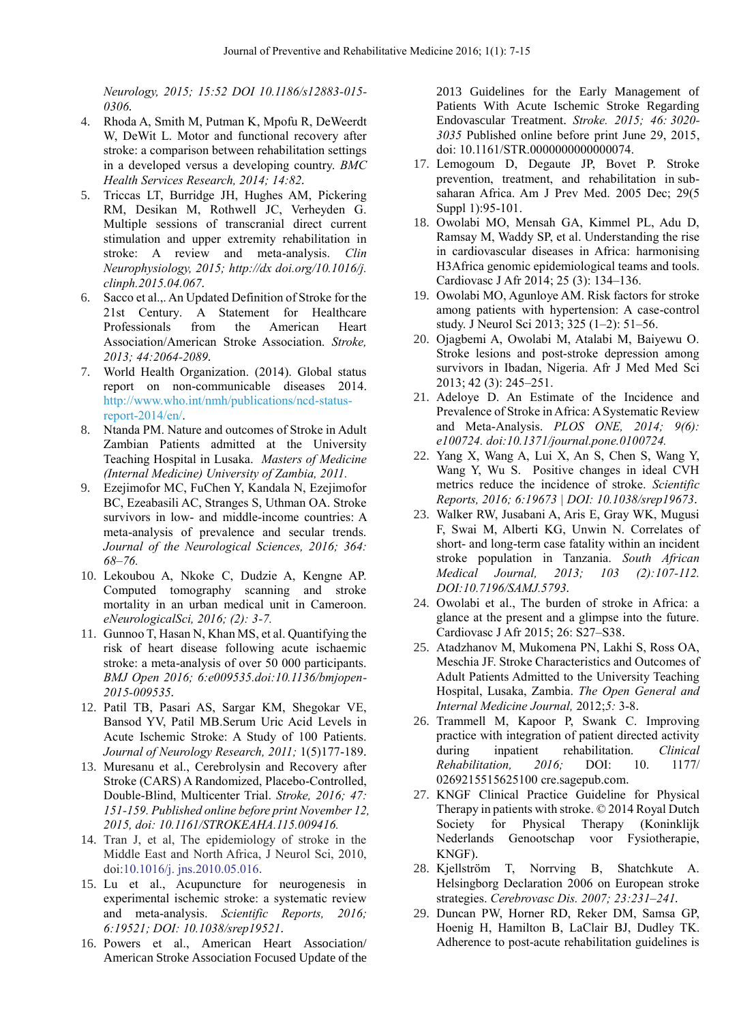*Neurology, 2015; 15:52 DOI 10.1186/s12883-015- 0306.*

- 4. Rhoda A, Smith M, Putman K, Mpofu R, DeWeerdt W, DeWit L. Motor and functional recovery after stroke: a comparison between rehabilitation settings in a developed versus a developing country. *BMC Health Services Research, 2014; 14:82.*
- 5. Triccas LT, Burridge JH, Hughes AM, Pickering RM, Desikan M, Rothwell JC, Verheyden G. Multiple sessions of transcranial direct current stimulation and upper extremity rehabilitation in stroke: A review and meta-analysis. *Clin Neurophysiology, 2015; [http://dx](http://dx/) doi.org/10.1016/j. clinph.2015.04.067.*
- 6. Sacco et al.,. An Updated Definition of Stroke for the 21st Century. A Statement for Healthcare Professionals from the American Heart Association/American Stroke Association. *Stroke, 2013; 44:2064-2089.*
- 7. World Health Organization. (2014). Global status report on non-communicable diseases 2014. http://www.who.int/nmh/publications/ncd-statusreport-2014/en/.
- 8. Ntanda PM. Nature and outcomes of Stroke in Adult Zambian Patients admitted at the University Teaching Hospital in Lusaka. *Masters of Medicine (Internal Medicine) University of Zambia, 2011.*
- 9. Ezejimofor MC, FuChen Y, Kandala N, Ezejimofor BC, Ezeabasili AC, Stranges S, Uthman OA. Stroke survivors in low- and middle-income countries: A meta-analysis of prevalence and secular trends. *Journal of the Neurological Sciences, 2016; 364: 68–76.*
- 10. Lekoubou A, Nkoke C, Dudzie A, Kengne AP. Computed tomography scanning and stroke mortality in an urban medical unit in Cameroon. *eNeurologicalSci, 2016; (2): 3-7.*
- 11. Gunnoo T, Hasan N, Khan MS, et al. Quantifying the risk of heart disease following acute ischaemic stroke: a meta-analysis of over 50 000 participants. *BMJ Open 2016; 6:e009535.doi:10.1136/bmjopen-2015-009535.*
- 12. Patil TB, Pasari AS, Sargar KM, Shegokar VE, Bansod YV, Patil MB.Serum Uric Acid Levels in Acute Ischemic Stroke: A Study of 100 Patients. *Journal of Neurology Research, 2011;* 1(5)177-189.
- 13. Muresanu et al., Cerebrolysin and Recovery after Stroke (CARS) A Randomized, Placebo-Controlled, Double-Blind, Multicenter Trial. *Stroke, 2016; 47: 151-159. Published online before print November 12, 2015, doi: 10.1161/STROKEAHA.115.009416.*
- 14. Tran J, et al, The epidemiology of stroke in the Middle East and North Africa, J Neurol Sci, 2010, doi:10.1016/j. jns.2010.05.016.
- 15. Lu et al., Acupuncture for neurogenesis in experimental ischemic stroke: a systematic review and meta-analysis. *Scientific Reports, 2016; 6:19521; DOI: 10.1038/srep19521.*
- 16. Powers et al., American Heart Association/ American Stroke Association Focused Update of the

2013 Guidelines for the Early Management of Patients With Acute Ischemic Stroke Regarding Endovascular Treatment. *Stroke. 2015; 46: 3020- 3035* Published online before print June 29, 2015, doi: 10.1161/STR.0000000000000074.

- 17. Lemogoum D, Degaute JP, Bovet P. Stroke prevention, treatment, and rehabilitation in subsaharan Africa. [Am J Prev Med.](http://www.ncbi.nlm.nih.gov/pubmed/16389133) 2005 Dec; 29(5 Suppl 1):95-101.
- 18. Owolabi MO, Mensah GA, Kimmel PL, Adu D, Ramsay M, Waddy SP, et al. Understanding the rise in cardiovascular diseases in Africa: harmonising H3Africa genomic epidemiological teams and tools. Cardiovasc J Afr 2014; 25 (3): 134–136.
- 19. Owolabi MO, Agunloye AM. Risk factors for stroke among patients with hypertension: A case-control study. J Neurol Sci 2013; 325 (1–2): 51–56.
- 20. Ojagbemi A, Owolabi M, Atalabi M, Baiyewu O. Stroke lesions and post-stroke depression among survivors in Ibadan, Nigeria. Afr J Med Med Sci 2013; 42 (3): 245–251.
- 21. Adeloye D. An Estimate of the Incidence and Prevalence of Stroke in Africa: A Systematic Review and Meta-Analysis. *PLOS ONE, 2014; 9(6): e100724. doi:10.1371/journal.pone.0100724.*
- 22. Yang X, Wang A, Lui X, An S, Chen S, Wang Y, Wang Y, Wu S. Positive changes in ideal CVH metrics reduce the incidence of stroke. *Scientific Reports, 2016; 6:19673 | DOI: 10.1038/srep19673.*
- 23. Walker RW, Jusabani A, Aris E, Gray WK, Mugusi F, Swai M, Alberti KG, Unwin N. Correlates of short- and long-term case fatality within an incident stroke population in Tanzania. *South African Medical Journal, 2013; 103 (2):107-112. DOI:10.7196/SAMJ.5793.*
- 24. Owolabi et al., The burden of stroke in Africa: a glance at the present and a glimpse into the future. Cardiovasc J Afr 2015; 26: S27–S38.
- 25. Atadzhanov M, Mukomena PN, Lakhi S, Ross OA, Meschia JF. Stroke Characteristics and Outcomes of Adult Patients Admitted to the University Teaching Hospital, Lusaka, Zambia. *The Open General and Internal Medicine Journal,* 2012;*5:* 3-8.
- 26. Trammell M, Kapoor P, Swank C. Improving practice with integration of patient directed activity during inpatient rehabilitation. *Clinical Rehabilitation, 2016;* DOI: 10. 1177/ 0269215515625100 cre.sagepub.com.
- 27. KNGF Clinical Practice Guideline for Physical Therapy in patients with stroke. © 2014 Royal Dutch Society for Physical Therapy (Koninklijk Nederlands Genootschap voor Fysiotherapie, KNGF).
- 28. Kjellström T, Norrving B, Shatchkute A. Helsingborg Declaration 2006 on European stroke strategies. *Cerebrovasc Dis. 2007; 23:231–241.*
- 29. Duncan PW, Horner RD, Reker DM, Samsa GP, Hoenig H, Hamilton B, LaClair BJ, Dudley TK. Adherence to post-acute rehabilitation guidelines is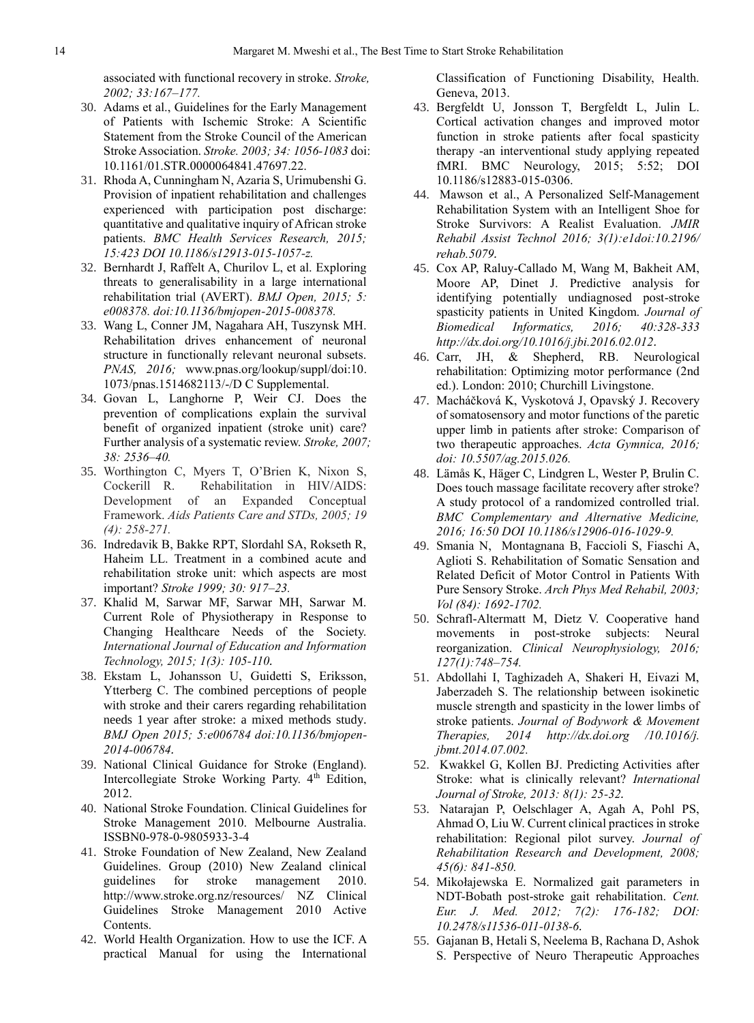associated with functional recovery in stroke. *Stroke, 2002; 33:167–177.*

- 30. Adams et al., Guidelines for the Early Management of Patients with Ischemic Stroke: A Scientific Statement from the Stroke Council of the American Stroke Association. *Stroke. 2003; 34: 1056-1083* doi: 10.1161/01.STR.0000064841.47697.22.
- 31. Rhoda A, Cunningham N, Azaria S, Urimubenshi G. Provision of inpatient rehabilitation and challenges experienced with participation post discharge: quantitative and qualitative inquiry of African stroke patients. *BMC Health Services Research, 2015; 15:423 DOI 10.1186/s12913-015-1057-z.*
- 32. Bernhardt J, Raffelt A, Churilov L, et al. Exploring threats to generalisability in a large international rehabilitation trial (AVERT). *BMJ Open, 2015; 5: e008378. doi:10.1136/bmjopen-2015-008378.*
- 33. Wang L, Conner JM, Nagahara AH, Tuszynsk MH. Rehabilitation drives enhancement of neuronal structure in functionally relevant neuronal subsets. *PNAS, 2016;* [www.pnas.org/lookup/suppl/doi:10.](http://www.pnas.org/lookup/suppl/doi:10)  1073/pnas.1514682113/-/D C Supplemental.
- 34. Govan L, Langhorne P, Weir CJ. Does the prevention of complications explain the survival benefit of organized inpatient (stroke unit) care? Further analysis of a systematic review. *Stroke, 2007; 38: 2536–40.*
- 35. Worthington C, Myers T, O'Brien K, Nixon S, Cockerill R. Rehabilitation in HIV/AIDS: Development of an Expanded Conceptual Framework. *Aids Patients Care and STDs, 2005; 19 (4): 258-271.*
- 36. Indredavik B, Bakke RPT, Slordahl SA, Rokseth R, Haheim LL. Treatment in a combined acute and rehabilitation stroke unit: which aspects are most important? *Stroke 1999; 30: 917–23.*
- 37. Khalid M, Sarwar MF, Sarwar MH, Sarwar M. Current Role of Physiotherapy in Response to Changing Healthcare Needs of the Society. *International Journal of Education and Information Technology, 2015; 1(3): 105-110.*
- 38. Ekstam L, Johansson U, Guidetti S, Eriksson, Ytterberg C. The combined perceptions of people with stroke and their carers regarding rehabilitation needs 1 year after stroke: a mixed methods study. *BMJ Open 2015; 5:e006784 doi:10.1136/bmjopen-2014-006784.*
- 39. National Clinical Guidance for Stroke (England). Intercollegiate Stroke Working Party. 4<sup>th</sup> Edition, 2012.
- 40. National Stroke Foundation. Clinical Guidelines for Stroke Management 2010. Melbourne Australia. ISSBN0-978-0-9805933-3-4
- 41. Stroke Foundation of New Zealand, New Zealand Guidelines. Group (2010) New Zealand clinical guidelines for stroke management 2010. <http://www.stroke.org.nz/resources/> NZ Clinical Guidelines Stroke Management 2010 Active Contents.
- 42. World Health Organization. How to use the ICF. A practical Manual for using the International

Classification of Functioning Disability, Health. Geneva, 2013.

- 43. Bergfeldt U, Jonsson T, Bergfeldt L, Julin L. Cortical activation changes and improved motor function in stroke patients after focal spasticity therapy -an interventional study applying repeated fMRI. BMC Neurology, 2015; 5:52; DOI 10.1186/s12883-015-0306.
- 44. Mawson et al., A Personalized Self-Management Rehabilitation System with an Intelligent Shoe for Stroke Survivors: A Realist Evaluation. *JMIR Rehabil Assist Technol 2016; 3(1):e1doi:10.2196/ rehab.5079.*
- 45. Cox AP, Raluy-Callado M, Wang M, Bakheit AM, Moore AP, Dinet J. Predictive analysis for identifying potentially undiagnosed post-stroke spasticity patients in United Kingdom. *Journal of Biomedical Informatics, 2016; 40:328-333 http://dx.doi.org/10.1016/j.jbi.2016.02.012.*
- 46. Carr, JH, & Shepherd, RB. Neurological rehabilitation: Optimizing motor performance (2nd ed.). London: 2010; Churchill Livingstone.
- 47. Macháčková K, Vyskotová J, Opavský J. Recovery of somatosensory and motor functions of the paretic upper limb in patients after stroke: Comparison of two therapeutic approaches. *Acta Gymnica, 2016; doi: 10.5507/ag.2015.026.*
- 48. Lämås K, Häger C, Lindgren L, Wester P, Brulin C. Does touch massage facilitate recovery after stroke? A study protocol of a randomized controlled trial. *BMC Complementary and Alternative Medicine, 2016; 16:50 DOI 10.1186/s12906-016-1029-9.*
- 49. Smania N, Montagnana B, Faccioli S, Fiaschi A, Aglioti S. Rehabilitation of Somatic Sensation and Related Deficit of Motor Control in Patients With Pure Sensory Stroke. *Arch Phys Med Rehabil, 2003; Vol (84): 1692-1702.*
- 50. Schrafl-Altermatt M, Dietz V. Cooperative hand movements in post-stroke subjects: Neural reorganization. *Clinical Neurophysiology, 2016; 127(1):748–754.*
- 51. Abdollahi I, Taghizadeh A, Shakeri H, Eivazi M, Jaberzadeh S. The relationship between isokinetic muscle strength and spasticity in the lower limbs of stroke patients. *Journal of Bodywork & Movement Therapies, 2014 http://dx.doi.org /10.1016/j. jbmt.2014.07.002.*
- 52. Kwakkel G, Kollen BJ. Predicting Activities after Stroke: what is clinically relevant? *International Journal of Stroke, 2013: 8(1): 25-32.*
- 53. Natarajan P, Oelschlager A, Agah A, Pohl PS, Ahmad O, Liu W. Current clinical practices in stroke rehabilitation: Regional pilot survey. *Journal of Rehabilitation Research and Development, 2008; 45(6): 841-850.*
- 54. Mikołajewska E. Normalized gait parameters in NDT-Bobath post-stroke gait rehabilitation. *Cent. Eur. J. Med. 2012; 7(2): 176-182; DOI: 10.2478/s11536-011-0138-6.*
- 55. Gajanan B, Hetali S, Neelema B, Rachana D, Ashok S. Perspective of Neuro Therapeutic Approaches